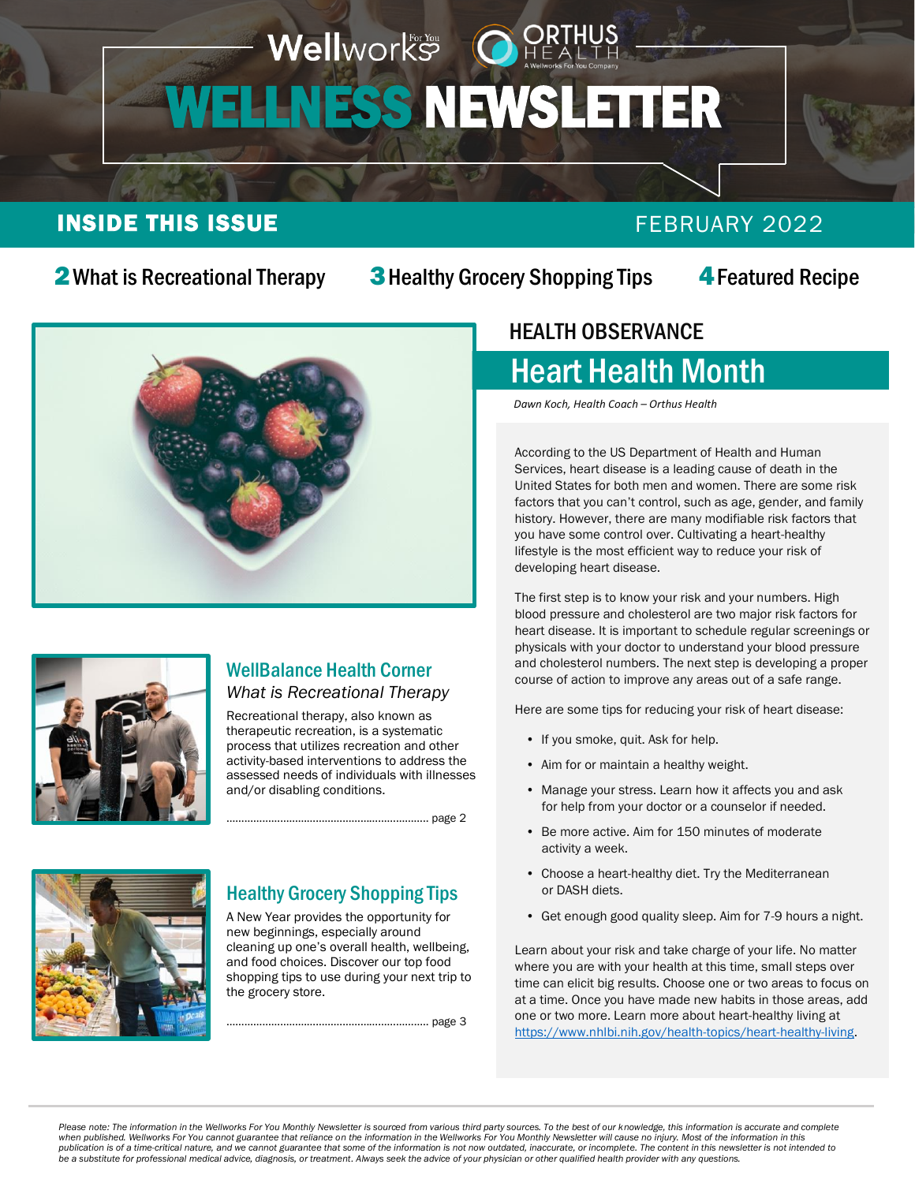#### Wellworks OH WELLNESS NEWSLETTER i ľ

### INSIDE THIS ISSUE **FEBRUARY 2022**

#### 2 [What is Recreational Therapy](#page-1-0)

**3** [Healthy Grocery Shopping Tips](#page-2-0)

4[Featured Recipe](#page-3-0)





#### WellBalance Health Corner *What is Recreational Therapy*

Recreational therapy, also known as therapeutic recreation, is a systematic process that utilizes recreation and other activity-based interventions to address the assessed needs of individuals with illnesses and/or disabling conditions.

………………………………………………………….. page 2



#### Healthy Grocery Shopping Tips

A New Year provides the opportunity for new beginnings, especially around cleaning up one's overall health, wellbeing, and food choices. Discover our top food shopping tips to use during your next trip to the grocery store.

………………………………………………………….. page 3

 $\ddot{\phantom{0}}$ 

#### HEALTH OBSERVANCE  $\overline{a}$

# Heart Health Month

*Dawn Koch, Health Coach – Orthus Health*

According to the US Department of Health and Human Services, heart disease is a leading cause of death in the United States for both men and women. There are some risk factors that you can't control, such as age, gender, and family history. However, there are many modifiable risk factors that you have some control over. Cultivating a heart-healthy lifestyle is the most efficient way to reduce your risk of developing heart disease.

The first step is to know your risk and your numbers. High blood pressure and cholesterol are two major risk factors for heart disease. It is important to schedule regular screenings or physicals with your doctor to understand your blood pressure and cholesterol numbers. The next step is developing a proper course of action to improve any areas out of a safe range.

Here are some tips for reducing your risk of heart disease:

- If you smoke, quit. Ask for help.
- Aim for or maintain a healthy weight.
- Manage your stress. Learn how it affects you and ask for help from your doctor or a counselor if needed.
- Be more active. Aim for 150 minutes of moderate activity a week.
- Choose a heart-healthy diet. Try the Mediterranean or DASH diets.
- Get enough good quality sleep. Aim for 7-9 hours a night.

Learn about your risk and take charge of your life. No matter where you are with your health at this time, small steps over time can elicit big results. Choose one or two areas to focus on at a time. Once you have made new habits in those areas, add one or two more. Learn more about heart-healthy living at [https://www.nhlbi.nih.gov/health-topics/heart-healthy-living.](https://www.nhlbi.nih.gov/health-topics/heart-healthy-living)

Please note: The information in the Wellworks For You Monthly Newsletter is sourced from various third party sources. To the best of our knowledge, this information is accurate and complete<br>when published. Wellworks For Yo *be a substitute for professional medical advice, diagnosis, or treatment. Always seek the advice of your physician or other qualified health provider with any questions.*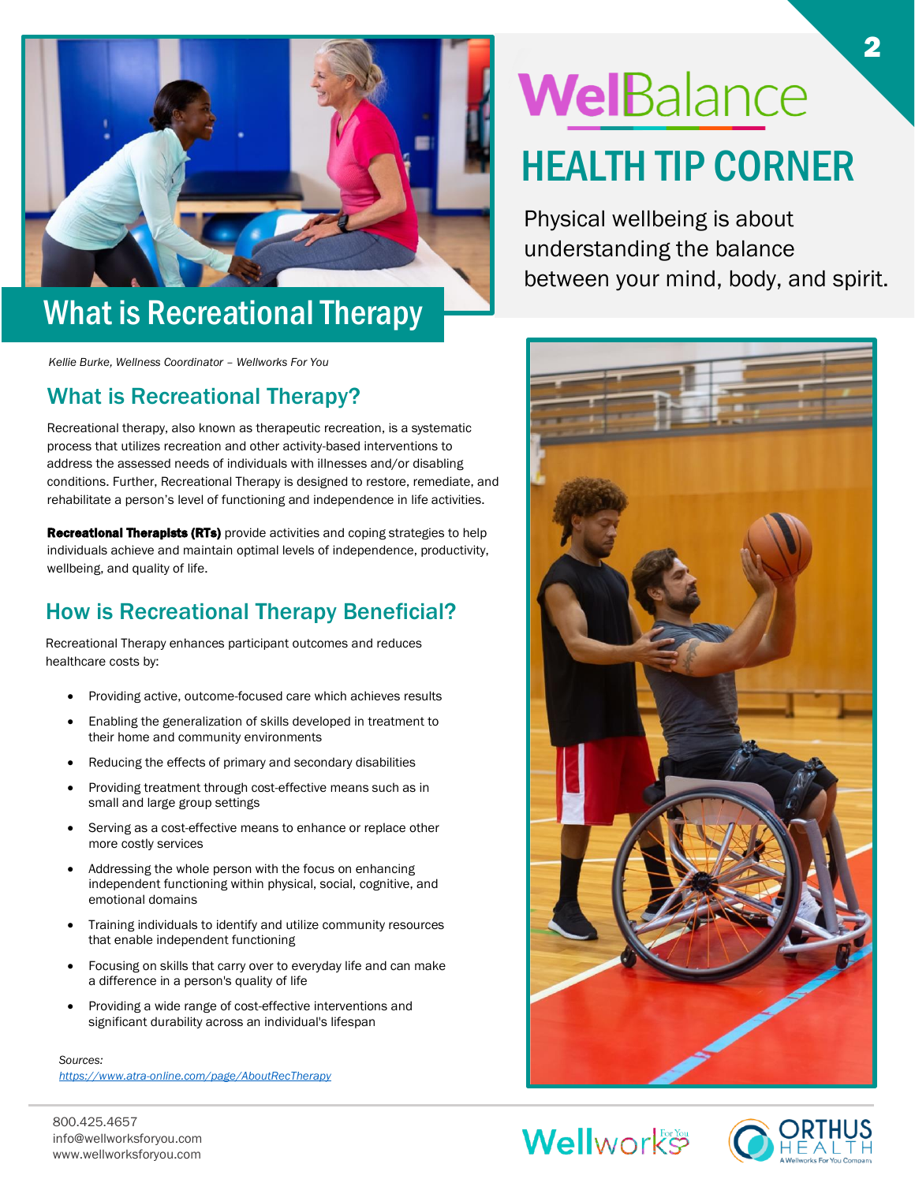<span id="page-1-0"></span>

# What is Recreational Therapy

*Kellie Burke, Wellness Coordinator – Wellworks For You*

#### What is Recreational Therapy?

Recreational therapy, also known as therapeutic recreation, is a systematic process that utilizes recreation and other activity-based interventions to address the assessed needs of individuals with illnesses and/or disabling conditions. Further, Recreational Therapy is designed to restore, remediate, and rehabilitate a person's level of functioning and independence in life activities.

**Recreational Therapists (RTs)** provide activities and coping strategies to help individuals achieve and maintain optimal levels of independence, productivity, wellbeing, and quality of life.

#### How is Recreational Therapy Beneficial?

Recreational Therapy enhances participant outcomes and reduces healthcare costs by:

- Providing active, outcome-focused care which achieves results
- Enabling the generalization of skills developed in treatment to their home and community environments
- Reducing the effects of primary and secondary disabilities
- Providing treatment through cost-effective means such as in small and large group settings
- Serving as a cost-effective means to enhance or replace other more costly services
- Addressing the whole person with the focus on enhancing independent functioning within physical, social, cognitive, and emotional domains
- Training individuals to identify and utilize community resources that enable independent functioning
- Focusing on skills that carry over to everyday life and can make a difference in a person's quality of life
- Providing a wide range of cost-effective interventions and significant durability across an individual's lifespan

*Sources: <https://www.atra-online.com/page/AboutRecTherapy>*

800.425.4657 info@wellworksforyou.com www.wellworksforyou.com

# WelBalance HEALTH TIP CORNER

2

Physical wellbeing is about understanding the balance between your mind, body, and spirit.



**Wellworks** 

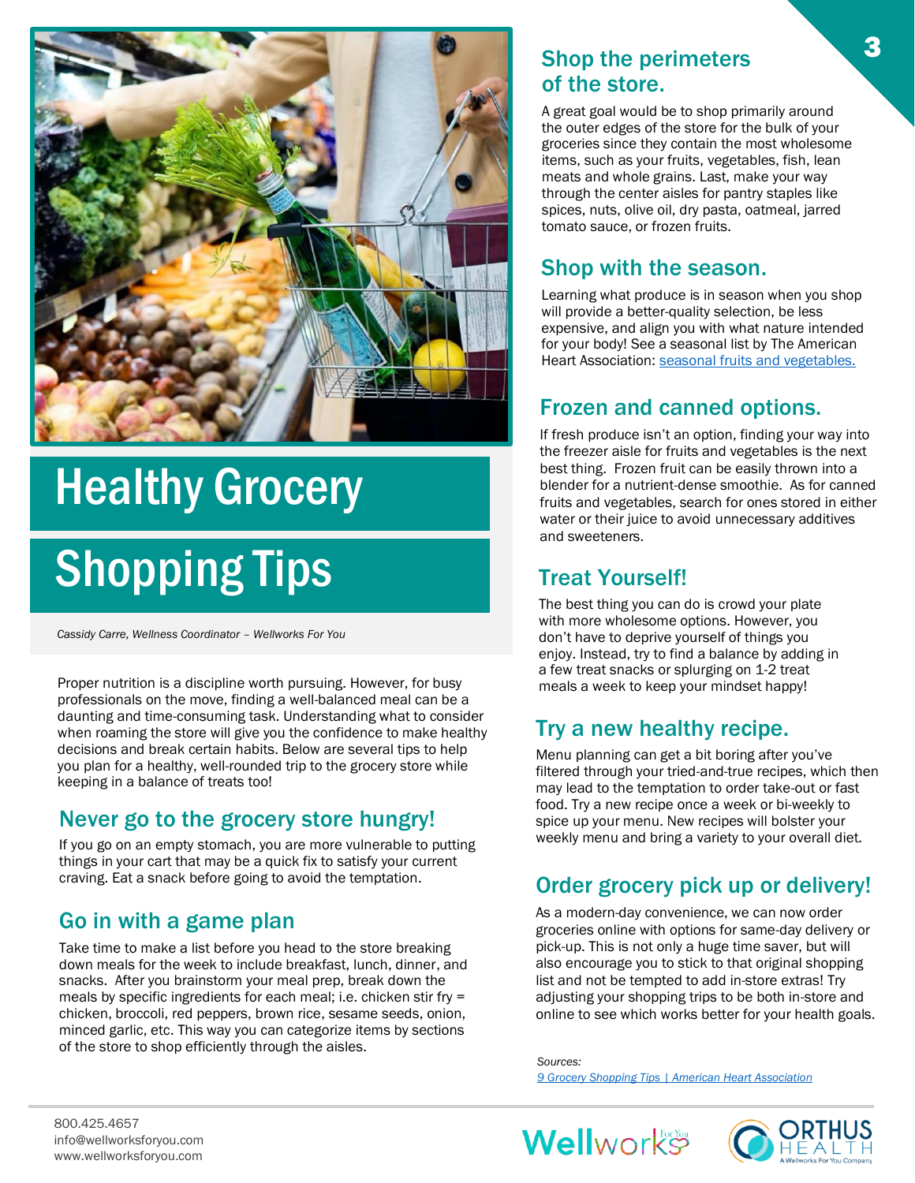<span id="page-2-0"></span>

# Healthy Grocery

# Shopping Tips

*Cassidy Carre, Wellness Coordinator – Wellworks For You*

Proper nutrition is a discipline worth pursuing. However, for busy meals a week to keep your mindset happy! professionals on the move, finding a well-balanced meal can be a daunting and time-consuming task. Understanding what to consider when roaming the store will give you the confidence to make healthy decisions and break certain habits. Below are several tips to help you plan for a healthy, well-rounded trip to the grocery store while keeping in a balance of treats too!

#### Never go to the grocery store hungry!

If you go on an empty stomach, you are more vulnerable to putting things in your cart that may be a quick fix to satisfy your current craving. Eat a snack before going to avoid the temptation.

#### Go in with a game plan

Take time to make a list before you head to the store breaking down meals for the week to include breakfast, lunch, dinner, and snacks. After you brainstorm your meal prep, break down the meals by specific ingredients for each meal; i.e. chicken stir fry = chicken, broccoli, red peppers, brown rice, sesame seeds, onion, minced garlic, etc. This way you can categorize items by sections of the store to shop efficiently through the aisles.

#### Shop the perimeters of the store.

A great goal would be to shop primarily around the outer edges of the store for the bulk of your groceries since they contain the most wholesome items, such as your fruits, vegetables, fish, lean meats and whole grains. Last, make your way through the center aisles for pantry staples like spices, nuts, olive oil, dry pasta, oatmeal, jarred tomato sauce, or frozen fruits.

#### Shop with the season.

Learning what produce is in season when you shop will provide a better-quality selection, be less expensive, and align you with what nature intended for your body! See a seasonal list by The American Heart Association: seasonal fruits and vegetables.

#### Frozen and canned options.

If fresh produce isn't an option, finding your way into the freezer aisle for fruits and vegetables is the next best thing. Frozen fruit can be easily thrown into a blender for a nutrient-dense smoothie. As for canned fruits and vegetables, search for ones stored in either water or their juice to avoid unnecessary additives and sweeteners.

#### Treat Yourself!

The best thing you can do is crowd your plate with more wholesome options. However, you don't have to deprive yourself of things you enjoy. Instead, try to find a balance by adding in a few treat snacks or splurging on 1-2 treat

#### Try a new healthy recipe.

Menu planning can get a bit boring after you've filtered through your tried-and-true recipes, which then may lead to the temptation to order take-out or fast food. Try a new recipe once a week or bi-weekly to spice up your menu. New recipes will bolster your weekly menu and bring a variety to your overall diet.

#### Order grocery pick up or delivery!

As a modern-day convenience, we can now order groceries online with options for same-day delivery or pick-up. This is not only a huge time saver, but will also encourage you to stick to that original shopping list and not be tempted to add in-store extras! Try adjusting your shopping trips to be both in-store and online to see which works better for your health goals.

*Sources: [9 Grocery Shopping Tips | American Heart Association](https://www.heart.org/en/healthy-living/healthy-eating/cooking-skills/shopping/grocery-shopping-tips)*